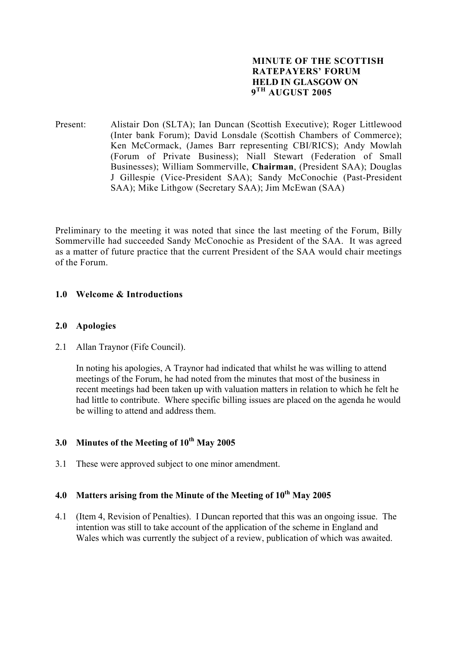## **MINUTE OF THE SCOTTISH RATEPAYERS' FORUM HELD IN GLASGOW ON 9TH AUGUST 2005**

Present: Alistair Don (SLTA); Ian Duncan (Scottish Executive); Roger Littlewood (Inter bank Forum); David Lonsdale (Scottish Chambers of Commerce); Ken McCormack, (James Barr representing CBI/RICS); Andy Mowlah (Forum of Private Business); Niall Stewart (Federation of Small Businesses); William Sommerville, **Chairman**, (President SAA); Douglas J Gillespie (Vice-President SAA); Sandy McConochie (Past-President SAA); Mike Lithgow (Secretary SAA); Jim McEwan (SAA)

Preliminary to the meeting it was noted that since the last meeting of the Forum, Billy Sommerville had succeeded Sandy McConochie as President of the SAA. It was agreed as a matter of future practice that the current President of the SAA would chair meetings of the Forum.

# **1.0 Welcome & Introductions**

## **2.0 Apologies**

2.1 Allan Traynor (Fife Council).

In noting his apologies, A Traynor had indicated that whilst he was willing to attend meetings of the Forum, he had noted from the minutes that most of the business in recent meetings had been taken up with valuation matters in relation to which he felt he had little to contribute. Where specific billing issues are placed on the agenda he would be willing to attend and address them.

# **3.0 Minutes of the Meeting of 10th May 2005**

3.1 These were approved subject to one minor amendment.

# **4.0 Matters arising from the Minute of the Meeting of 10th May 2005**

4.1 (Item 4, Revision of Penalties). I Duncan reported that this was an ongoing issue. The intention was still to take account of the application of the scheme in England and Wales which was currently the subject of a review, publication of which was awaited.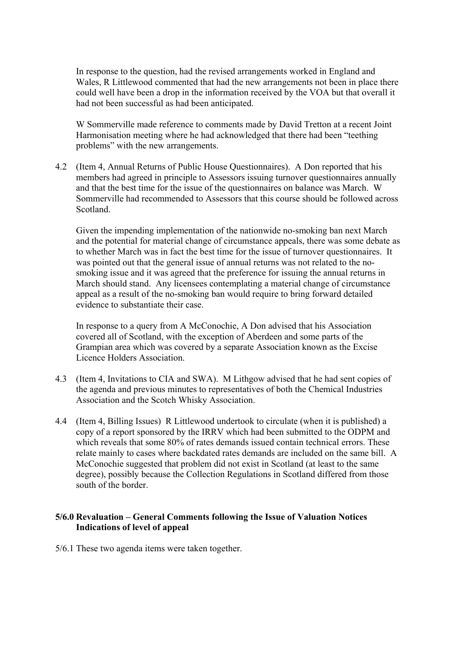In response to the question, had the revised arrangements worked in England and Wales, R Littlewood commented that had the new arrangements not been in place there could well have been a drop in the information received by the VOA but that overall it had not been successful as had been anticipated.

W Sommerville made reference to comments made by David Tretton at a recent Joint Harmonisation meeting where he had acknowledged that there had been "teething problems" with the new arrangements.

4.2 (Item 4, Annual Returns of Public House Questionnaires). A Don reported that his members had agreed in principle to Assessors issuing turnover questionnaires annually and that the best time for the issue of the questionnaires on balance was March. W Sommerville had recommended to Assessors that this course should be followed across Scotland.

 Given the impending implementation of the nationwide no-smoking ban next March and the potential for material change of circumstance appeals, there was some debate as to whether March was in fact the best time for the issue of turnover questionnaires. It was pointed out that the general issue of annual returns was not related to the nosmoking issue and it was agreed that the preference for issuing the annual returns in March should stand. Any licensees contemplating a material change of circumstance appeal as a result of the no-smoking ban would require to bring forward detailed evidence to substantiate their case.

 In response to a query from A McConochie, A Don advised that his Association covered all of Scotland, with the exception of Aberdeen and some parts of the Grampian area which was covered by a separate Association known as the Excise Licence Holders Association.

- 4.3 (Item 4, Invitations to CIA and SWA). M Lithgow advised that he had sent copies of the agenda and previous minutes to representatives of both the Chemical Industries Association and the Scotch Whisky Association.
- 4.4 (Item 4, Billing Issues) R Littlewood undertook to circulate (when it is published) a copy of a report sponsored by the IRRV which had been submitted to the ODPM and which reveals that some 80% of rates demands issued contain technical errors. These relate mainly to cases where backdated rates demands are included on the same bill. A McConochie suggested that problem did not exist in Scotland (at least to the same degree), possibly because the Collection Regulations in Scotland differed from those south of the border.

# **5/6.0 Revaluation – General Comments following the Issue of Valuation Notices Indications of level of appeal**

5/6.1 These two agenda items were taken together.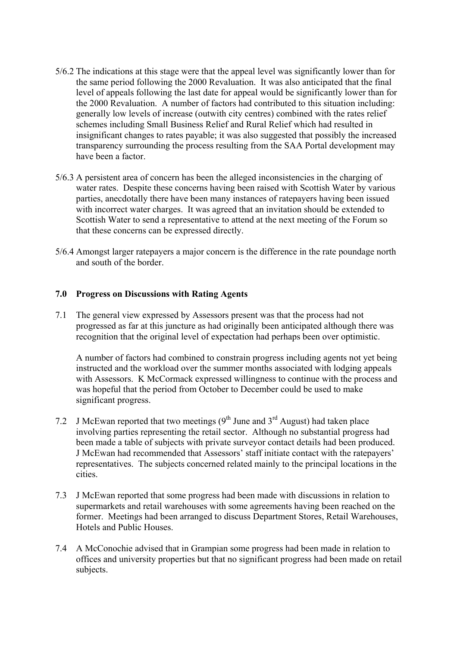- 5/6.2 The indications at this stage were that the appeal level was significantly lower than for the same period following the 2000 Revaluation. It was also anticipated that the final level of appeals following the last date for appeal would be significantly lower than for the 2000 Revaluation. A number of factors had contributed to this situation including: generally low levels of increase (outwith city centres) combined with the rates relief schemes including Small Business Relief and Rural Relief which had resulted in insignificant changes to rates payable; it was also suggested that possibly the increased transparency surrounding the process resulting from the SAA Portal development may have been a factor.
- 5/6.3 A persistent area of concern has been the alleged inconsistencies in the charging of water rates. Despite these concerns having been raised with Scottish Water by various parties, anecdotally there have been many instances of ratepayers having been issued with incorrect water charges. It was agreed that an invitation should be extended to Scottish Water to send a representative to attend at the next meeting of the Forum so that these concerns can be expressed directly.
- 5/6.4 Amongst larger ratepayers a major concern is the difference in the rate poundage north and south of the border.

## **7.0 Progress on Discussions with Rating Agents**

7.1 The general view expressed by Assessors present was that the process had not progressed as far at this juncture as had originally been anticipated although there was recognition that the original level of expectation had perhaps been over optimistic.

A number of factors had combined to constrain progress including agents not yet being instructed and the workload over the summer months associated with lodging appeals with Assessors. K McCormack expressed willingness to continue with the process and was hopeful that the period from October to December could be used to make significant progress.

- 7.2 J McEwan reported that two meetings  $(9<sup>th</sup>$  June and  $3<sup>rd</sup>$  August) had taken place involving parties representing the retail sector. Although no substantial progress had been made a table of subjects with private surveyor contact details had been produced. J McEwan had recommended that Assessors' staff initiate contact with the ratepayers' representatives. The subjects concerned related mainly to the principal locations in the cities.
- 7.3 J McEwan reported that some progress had been made with discussions in relation to supermarkets and retail warehouses with some agreements having been reached on the former. Meetings had been arranged to discuss Department Stores, Retail Warehouses, Hotels and Public Houses.
- 7.4 A McConochie advised that in Grampian some progress had been made in relation to offices and university properties but that no significant progress had been made on retail subjects.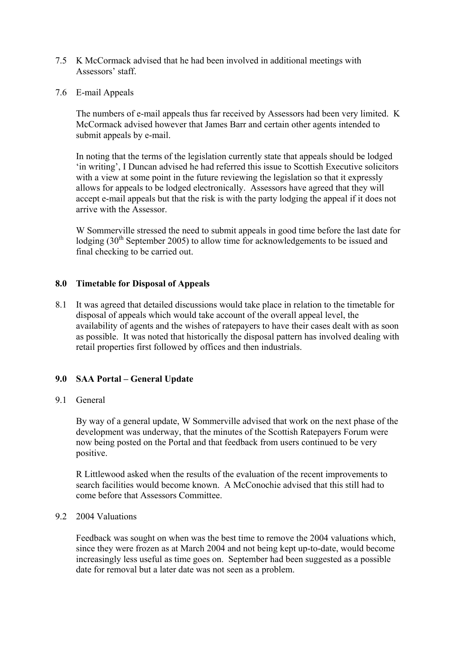- 7.5 K McCormack advised that he had been involved in additional meetings with Assessors' staff.
- 7.6 E-mail Appeals

The numbers of e-mail appeals thus far received by Assessors had been very limited. K McCormack advised however that James Barr and certain other agents intended to submit appeals by e-mail.

In noting that the terms of the legislation currently state that appeals should be lodged 'in writing', I Duncan advised he had referred this issue to Scottish Executive solicitors with a view at some point in the future reviewing the legislation so that it expressly allows for appeals to be lodged electronically. Assessors have agreed that they will accept e-mail appeals but that the risk is with the party lodging the appeal if it does not arrive with the Assessor.

 W Sommerville stressed the need to submit appeals in good time before the last date for lodging (30<sup>th</sup> September 2005) to allow time for acknowledgements to be issued and final checking to be carried out.

#### **8.0 Timetable for Disposal of Appeals**

8.1 It was agreed that detailed discussions would take place in relation to the timetable for disposal of appeals which would take account of the overall appeal level, the availability of agents and the wishes of ratepayers to have their cases dealt with as soon as possible. It was noted that historically the disposal pattern has involved dealing with retail properties first followed by offices and then industrials.

#### **9.0 SAA Portal – General Update**

#### 9.1 General

 By way of a general update, W Sommerville advised that work on the next phase of the development was underway, that the minutes of the Scottish Ratepayers Forum were now being posted on the Portal and that feedback from users continued to be very positive.

R Littlewood asked when the results of the evaluation of the recent improvements to search facilities would become known. A McConochie advised that this still had to come before that Assessors Committee.

### 9.2 2004 Valuations

 Feedback was sought on when was the best time to remove the 2004 valuations which, since they were frozen as at March 2004 and not being kept up-to-date, would become increasingly less useful as time goes on. September had been suggested as a possible date for removal but a later date was not seen as a problem.